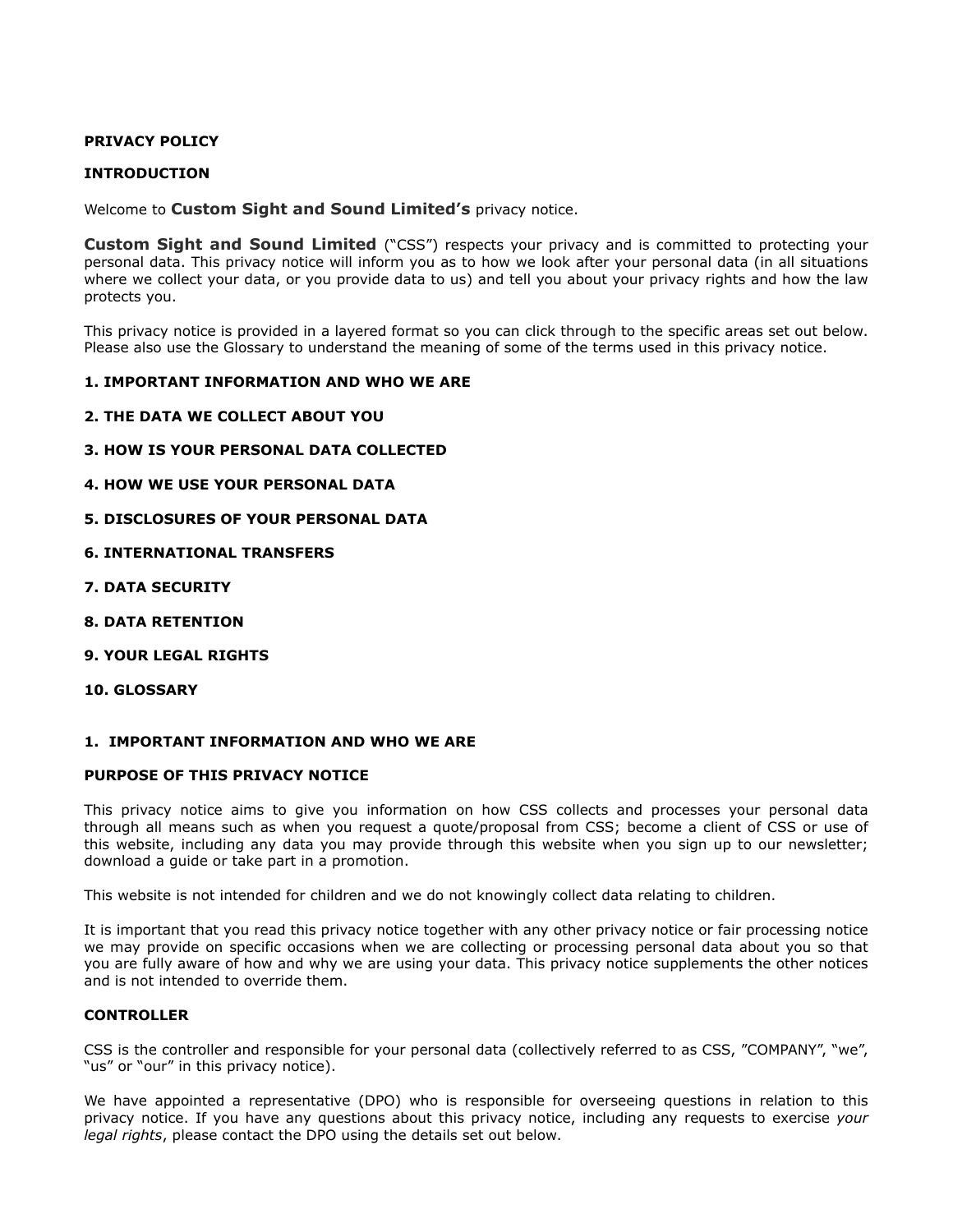## **PRIVACY POLICY**

## **INTRODUCTION**

Welcome to **Custom Sight and Sound Limited's** privacy notice.

**Custom Sight and Sound Limited** ("CSS") respects your privacy and is committed to protecting your personal data. This privacy notice will inform you as to how we look after your personal data (in all situations where we collect your data, or you provide data to us) and tell you about your privacy rights and how the law protects you.

This privacy notice is provided in a layered format so you can click through to the specific areas set out below. Please also use the Glossary to understand the meaning of some of the terms used in this privacy notice.

## **1. IMPORTANT INFORMATION AND WHO WE ARE**

- **2. THE DATA WE COLLECT ABOUT YOU**
- **3. HOW IS YOUR PERSONAL DATA COLLECTED**
- **4. HOW WE USE YOUR PERSONAL DATA**
- **5. DISCLOSURES OF YOUR PERSONAL DATA**
- **6. INTERNATIONAL TRANSFERS**
- **7. DATA SECURITY**
- **8. DATA RETENTION**
- **9. YOUR LEGAL RIGHTS**
- **10. GLOSSARY**

## **1. IMPORTANT INFORMATION AND WHO WE ARE**

## **PURPOSE OF THIS PRIVACY NOTICE**

This privacy notice aims to give you information on how CSS collects and processes your personal data through all means such as when you request a quote/proposal from CSS; become a client of CSS or use of this website, including any data you may provide through this website when you sign up to our newsletter; download a guide or take part in a promotion.

This website is not intended for children and we do not knowingly collect data relating to children.

It is important that you read this privacy notice together with any other privacy notice or fair processing notice we may provide on specific occasions when we are collecting or processing personal data about you so that you are fully aware of how and why we are using your data. This privacy notice supplements the other notices and is not intended to override them.

## **CONTROLLER**

CSS is the controller and responsible for your personal data (collectively referred to as CSS, "COMPANY", "we", "us" or "our" in this privacy notice).

We have appointed a representative (DPO) who is responsible for overseeing questions in relation to this privacy notice. If you have any questions about this privacy notice, including any requests to exercise *your legal rights*, please contact the DPO using the details set out below.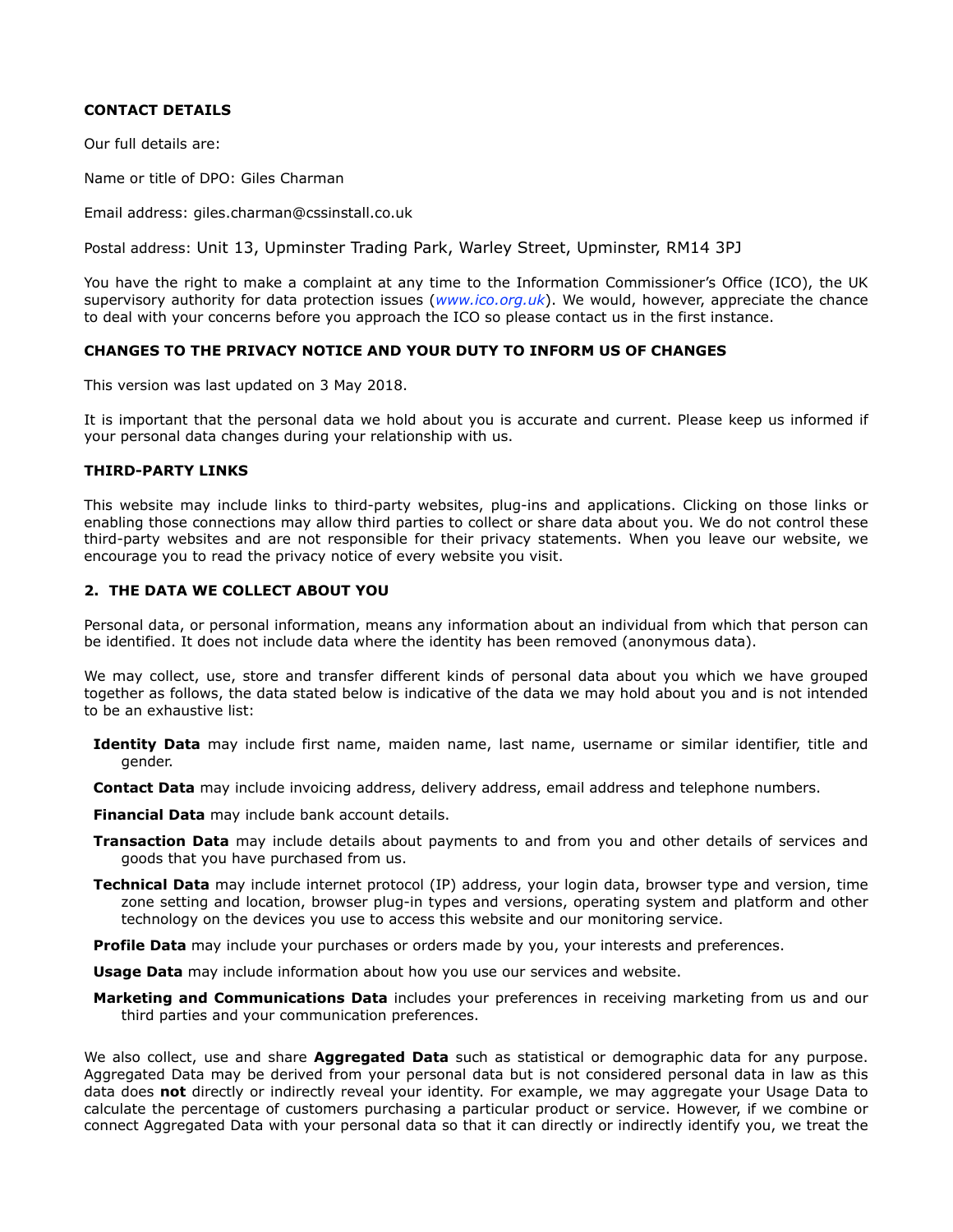# **CONTACT DETAILS**

Our full details are:

Name or title of DPO: Giles Charman

Email address: giles.charman@cssinstall.co.uk

Postal address: Unit 13, Upminster Trading Park, Warley Street, Upminster, RM14 3PJ

You have the right to make a complaint at any time to the Information Commissioner's Office (ICO), the UK supervisory authority for data protection issues (*[www.ico.org.uk](http://www.ico.org.uk/)*). We would, however, appreciate the chance to deal with your concerns before you approach the ICO so please contact us in the first instance.

# **CHANGES TO THE PRIVACY NOTICE AND YOUR DUTY TO INFORM US OF CHANGES**

This version was last updated on 3 May 2018.

It is important that the personal data we hold about you is accurate and current. Please keep us informed if your personal data changes during your relationship with us.

## **THIRD-PARTY LINKS**

This website may include links to third-party websites, plug-ins and applications. Clicking on those links or enabling those connections may allow third parties to collect or share data about you. We do not control these third-party websites and are not responsible for their privacy statements. When you leave our website, we encourage you to read the privacy notice of every website you visit.

## **2. THE DATA WE COLLECT ABOUT YOU**

Personal data, or personal information, means any information about an individual from which that person can be identified. It does not include data where the identity has been removed (anonymous data).

We may collect, use, store and transfer different kinds of personal data about you which we have grouped together as follows, the data stated below is indicative of the data we may hold about you and is not intended to be an exhaustive list:

**Identity Data** may include first name, maiden name, last name, username or similar identifier, title and gender.

**Contact Data** may include invoicing address, delivery address, email address and telephone numbers.

**Financial Data** may include bank account details.

- **Transaction Data** may include details about payments to and from you and other details of services and goods that you have purchased from us.
- **Technical Data** may include internet protocol (IP) address, your login data, browser type and version, time zone setting and location, browser plug-in types and versions, operating system and platform and other technology on the devices you use to access this website and our monitoring service.

**Profile Data** may include your purchases or orders made by you, your interests and preferences.

**Usage Data** may include information about how you use our services and website.

**Marketing and Communications Data** includes your preferences in receiving marketing from us and our third parties and your communication preferences.

We also collect, use and share **Aggregated Data** such as statistical or demographic data for any purpose. Aggregated Data may be derived from your personal data but is not considered personal data in law as this data does **not** directly or indirectly reveal your identity. For example, we may aggregate your Usage Data to calculate the percentage of customers purchasing a particular product or service. However, if we combine or connect Aggregated Data with your personal data so that it can directly or indirectly identify you, we treat the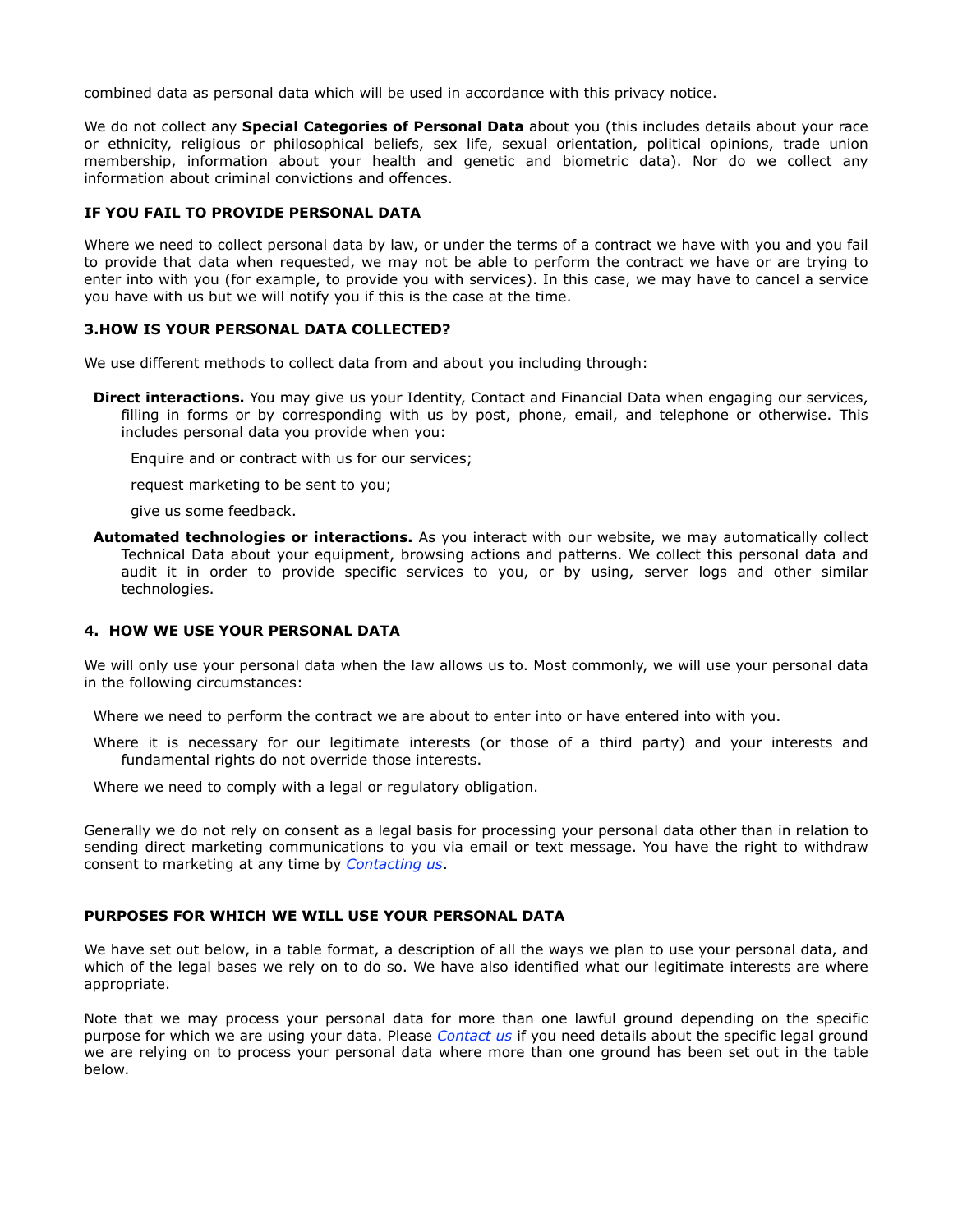combined data as personal data which will be used in accordance with this privacy notice.

We do not collect any **Special Categories of Personal Data** about you (this includes details about your race or ethnicity, religious or philosophical beliefs, sex life, sexual orientation, political opinions, trade union membership, information about your health and genetic and biometric data). Nor do we collect any information about criminal convictions and offences.

### **IF YOU FAIL TO PROVIDE PERSONAL DATA**

Where we need to collect personal data by law, or under the terms of a contract we have with you and you fail to provide that data when requested, we may not be able to perform the contract we have or are trying to enter into with you (for example, to provide you with services). In this case, we may have to cancel a service you have with us but we will notify you if this is the case at the time.

## **3.HOW IS YOUR PERSONAL DATA COLLECTED?**

We use different methods to collect data from and about you including through:

**Direct interactions.** You may give us your Identity, Contact and Financial Data when engaging our services, filling in forms or by corresponding with us by post, phone, email, and telephone or otherwise. This includes personal data you provide when you:

Enquire and or contract with us for our services;

request marketing to be sent to you;

give us some feedback.

**Automated technologies or interactions.** As you interact with our website, we may automatically collect Technical Data about your equipment, browsing actions and patterns. We collect this personal data and audit it in order to provide specific services to you, or by using, server logs and other similar technologies.

## **4. HOW WE USE YOUR PERSONAL DATA**

We will only use your personal data when the law allows us to. Most commonly, we will use your personal data in the following circumstances:

Where we need to perform the contract we are about to enter into or have entered into with you.

- Where it is necessary for our legitimate interests (or those of a third party) and your interests and fundamental rights do not override those interests.
- Where we need to comply with a legal or regulatory obligation.

Generally we do not rely on consent as a legal basis for processing your personal data other than in relation to sending direct marketing communications to you via email or text message. You have the right to withdraw consent to marketing at any time by *[Contacting us](#co_anchor_a599551_1)*.

## **PURPOSES FOR WHICH WE WILL USE YOUR PERSONAL DATA**

We have set out below, in a table format, a description of all the ways we plan to use your personal data, and which of the legal bases we rely on to do so. We have also identified what our legitimate interests are where appropriate.

Note that we may process your personal data for more than one lawful ground depending on the specific purpose for which we are using your data. Please *[Contact us](#co_anchor_a599551_1)* if you need details about the specific legal ground we are relying on to process your personal data where more than one ground has been set out in the table below.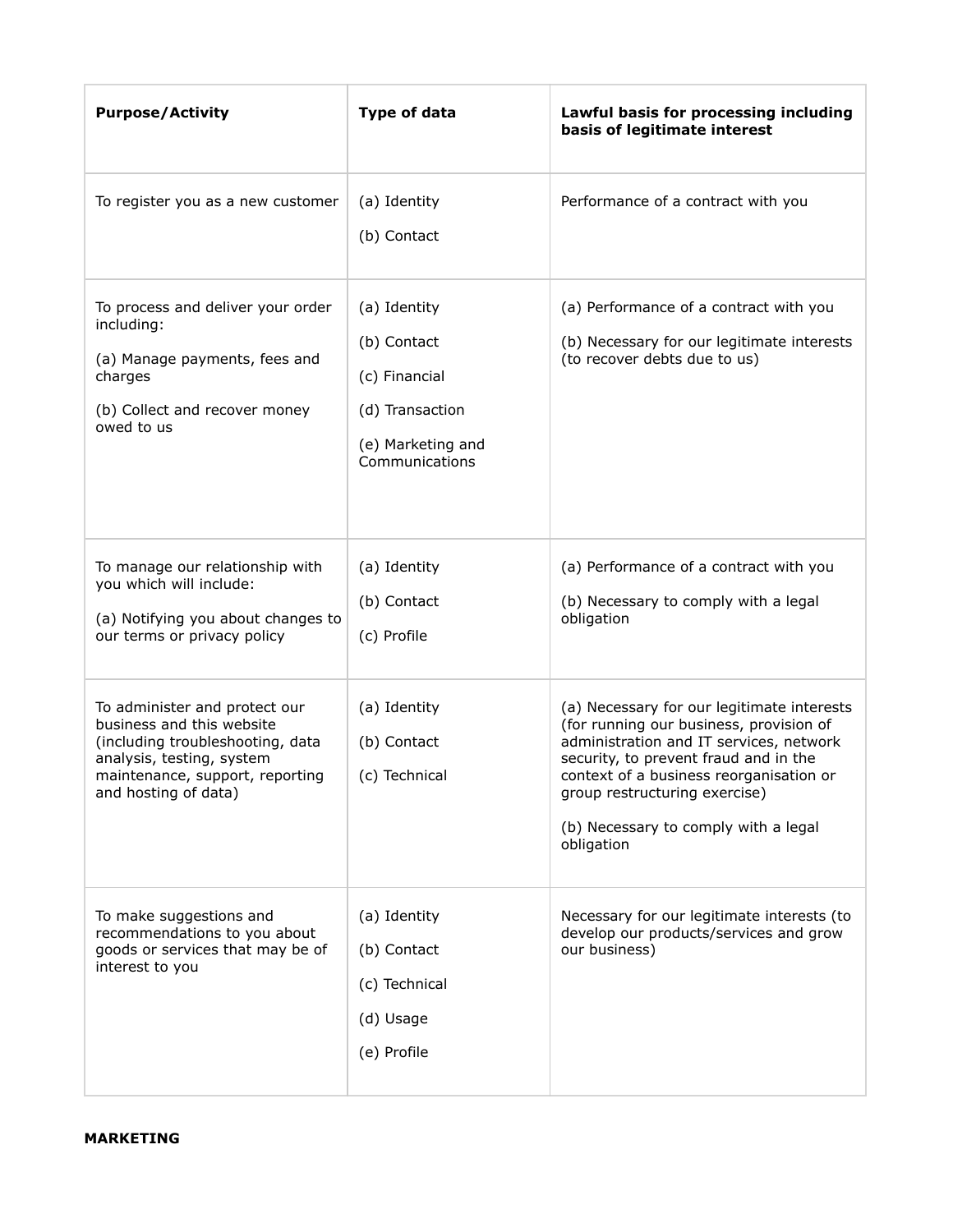| <b>Purpose/Activity</b>                                                                                                                                                                | <b>Type of data</b>                                                                                    | Lawful basis for processing including<br>basis of legitimate interest                                                                                                                                                                                                                                       |
|----------------------------------------------------------------------------------------------------------------------------------------------------------------------------------------|--------------------------------------------------------------------------------------------------------|-------------------------------------------------------------------------------------------------------------------------------------------------------------------------------------------------------------------------------------------------------------------------------------------------------------|
| To register you as a new customer                                                                                                                                                      | (a) Identity<br>(b) Contact                                                                            | Performance of a contract with you                                                                                                                                                                                                                                                                          |
| To process and deliver your order<br>including:<br>(a) Manage payments, fees and<br>charges<br>(b) Collect and recover money<br>owed to us                                             | (a) Identity<br>(b) Contact<br>(c) Financial<br>(d) Transaction<br>(e) Marketing and<br>Communications | (a) Performance of a contract with you<br>(b) Necessary for our legitimate interests<br>(to recover debts due to us)                                                                                                                                                                                        |
| To manage our relationship with<br>you which will include:<br>(a) Notifying you about changes to<br>our terms or privacy policy                                                        | (a) Identity<br>(b) Contact<br>(c) Profile                                                             | (a) Performance of a contract with you<br>(b) Necessary to comply with a legal<br>obligation                                                                                                                                                                                                                |
| To administer and protect our<br>business and this website<br>(including troubleshooting, data<br>analysis, testing, system<br>maintenance, support, reporting<br>and hosting of data) | (a) Identity<br>(b) Contact<br>(c) Technical                                                           | (a) Necessary for our legitimate interests<br>(for running our business, provision of<br>administration and IT services, network<br>security, to prevent fraud and in the<br>context of a business reorganisation or<br>group restructuring exercise)<br>(b) Necessary to comply with a legal<br>obligation |
| To make suggestions and<br>recommendations to you about<br>goods or services that may be of<br>interest to you                                                                         | (a) Identity<br>(b) Contact<br>(c) Technical<br>(d) Usage<br>(e) Profile                               | Necessary for our legitimate interests (to<br>develop our products/services and grow<br>our business)                                                                                                                                                                                                       |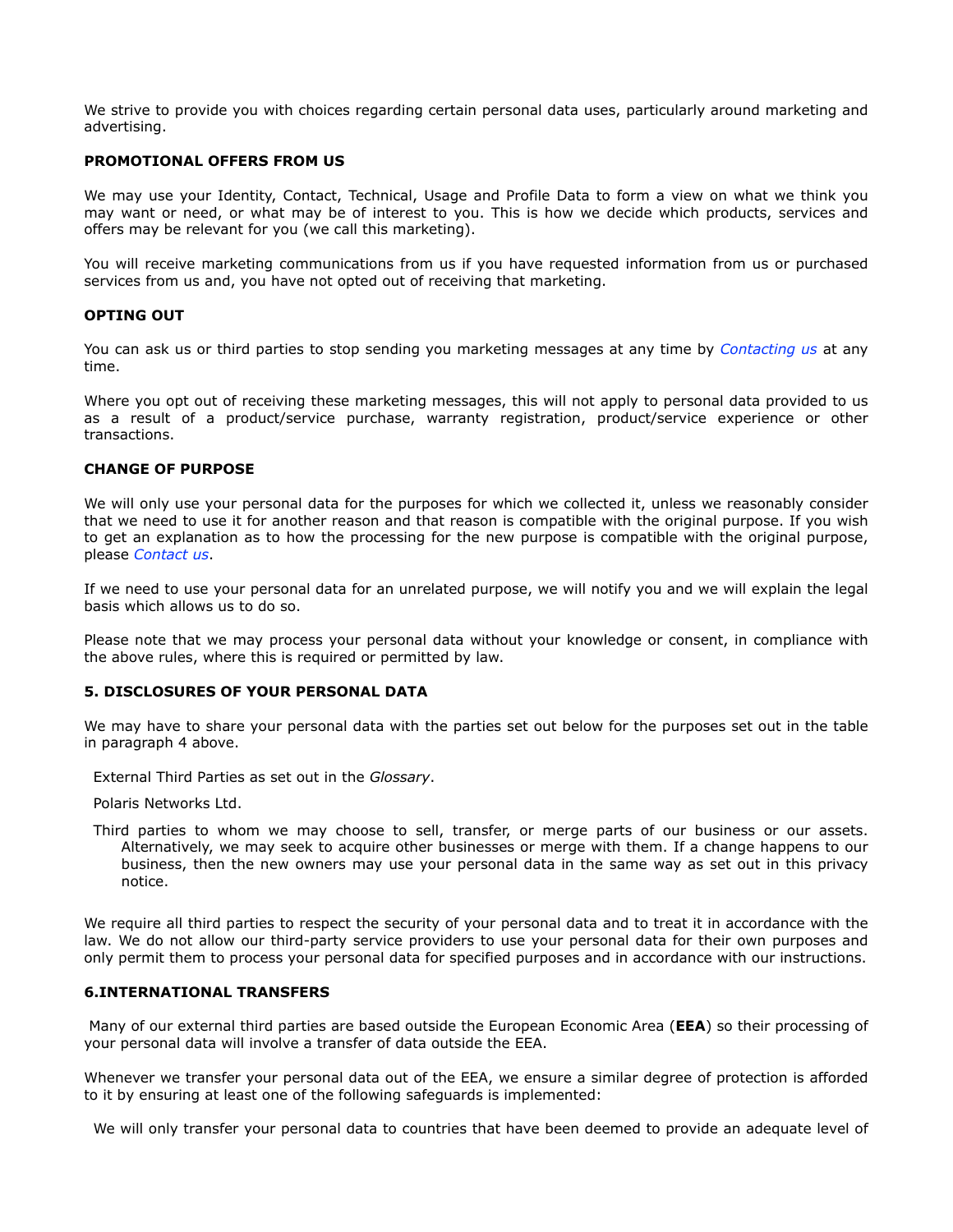We strive to provide you with choices regarding certain personal data uses, particularly around marketing and advertising.

#### **PROMOTIONAL OFFERS FROM US**

We may use your Identity, Contact, Technical, Usage and Profile Data to form a view on what we think you may want or need, or what may be of interest to you. This is how we decide which products, services and offers may be relevant for you (we call this marketing).

You will receive marketing communications from us if you have requested information from us or purchased services from us and, you have not opted out of receiving that marketing.

#### **OPTING OUT**

You can ask us or third parties to stop sending you marketing messages at any time by *[Contacting us](#co_anchor_a599551_1)* at any time.

Where you opt out of receiving these marketing messages, this will not apply to personal data provided to us as a result of a product/service purchase, warranty registration, product/service experience or other transactions.

#### **CHANGE OF PURPOSE**

We will only use your personal data for the purposes for which we collected it, unless we reasonably consider that we need to use it for another reason and that reason is compatible with the original purpose. If you wish to get an explanation as to how the processing for the new purpose is compatible with the original purpose, please *[Contact us](#co_anchor_a599551_1)*.

If we need to use your personal data for an unrelated purpose, we will notify you and we will explain the legal basis which allows us to do so.

Please note that we may process your personal data without your knowledge or consent, in compliance with the above rules, where this is required or permitted by law.

#### **5. DISCLOSURES OF YOUR PERSONAL DATA**

We may have to share your personal data with the parties set out below for the purposes set out in the table in paragraph 4 above.

External Third Parties as set out in the *Glossary*.

Polaris Networks Ltd.

Third parties to whom we may choose to sell, transfer, or merge parts of our business or our assets. Alternatively, we may seek to acquire other businesses or merge with them. If a change happens to our business, then the new owners may use your personal data in the same way as set out in this privacy notice.

We require all third parties to respect the security of your personal data and to treat it in accordance with the law. We do not allow our third-party service providers to use your personal data for their own purposes and only permit them to process your personal data for specified purposes and in accordance with our instructions.

# **6.INTERNATIONAL TRANSFERS**

 Many of our external third parties are based outside the European Economic Area (**EEA**) so their processing of your personal data will involve a transfer of data outside the EEA.

Whenever we transfer your personal data out of the EEA, we ensure a similar degree of protection is afforded to it by ensuring at least one of the following safeguards is implemented:

We will only transfer your personal data to countries that have been deemed to provide an adequate level of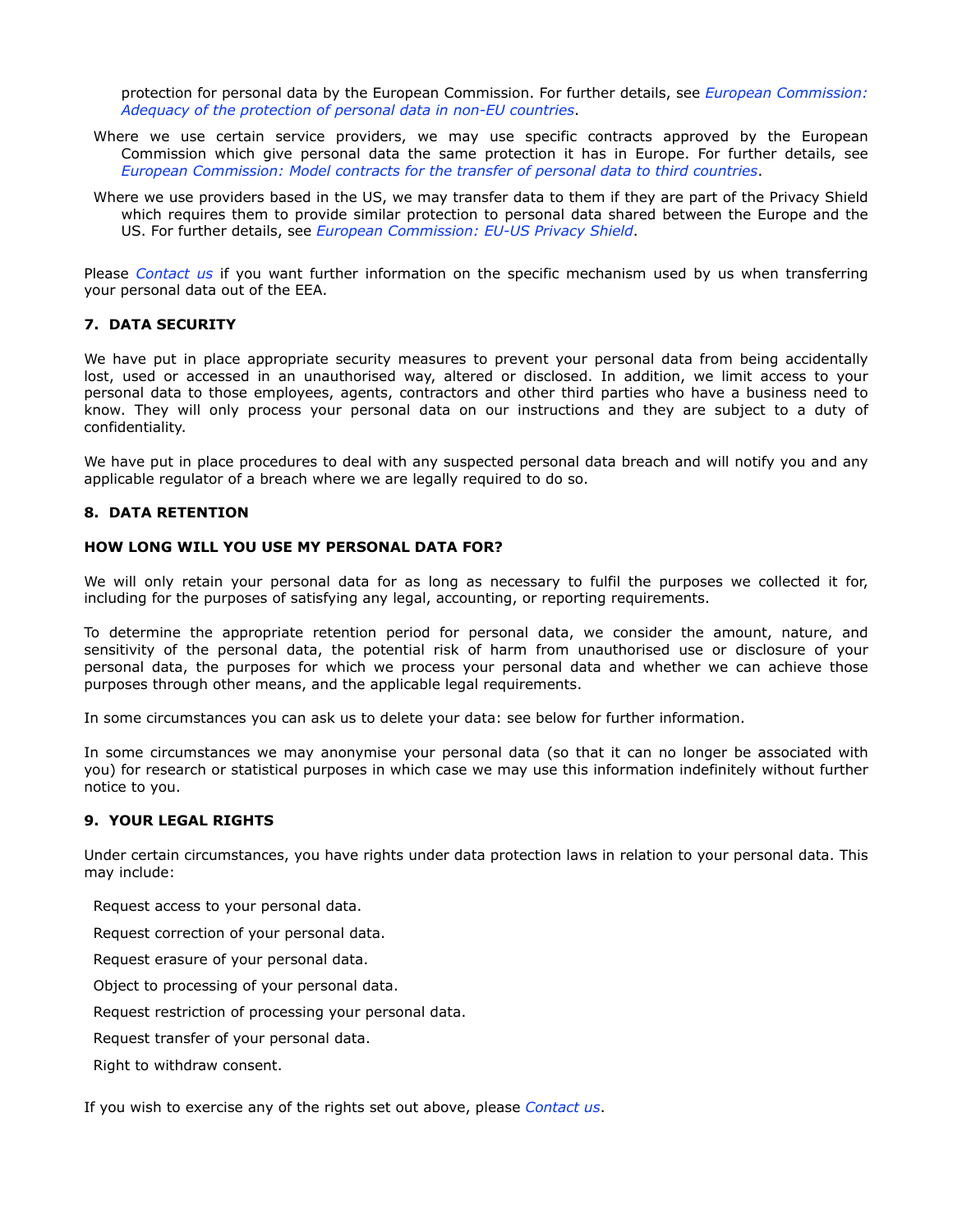protection for personal data by the European Commission. For further details, see *[European Commission:](https://ec.europa.eu/info/law/law-topic/data-protection/data-transfers-outside-eu/adequacy-protection-personal-data-)  [Adequacy of the protection of personal data in non-EU countries](https://ec.europa.eu/info/law/law-topic/data-protection/data-transfers-outside-eu/adequacy-protection-personal-data-)*.

- Where we use certain service providers, we may use specific contracts approved by the European Commission which give personal data the same protection it has in Europe. For further details, see *[European Commission: Model contracts for the transfer of personal data to third countries](https://ec.europa.eu/info/strategy/justice-and-fundamental-rights/data-protection/data-transfers-outside-eu/model-contracts-transfer-personal-data-third-countries_en)*.
- Where we use providers based in the US, we may transfer data to them if they are part of the Privacy Shield which requires them to provide similar protection to personal data shared between the Europe and the US. For further details, see *[European Commission: EU-US Privacy Shield](https://ec.europa.eu/info/strategy/justice-and-fundamental-rights/data-protection/data-transfers-outside-eu/eu-us-privacy-shield_en)*.

Please *Contact us* if you want further information on the specific mechanism used by us when transferring your personal data out of the EEA.

## **7. DATA SECURITY**

We have put in place appropriate security measures to prevent your personal data from being accidentally lost, used or accessed in an unauthorised way, altered or disclosed. In addition, we limit access to your personal data to those employees, agents, contractors and other third parties who have a business need to know. They will only process your personal data on our instructions and they are subject to a duty of confidentiality.

We have put in place procedures to deal with any suspected personal data breach and will notify you and any applicable regulator of a breach where we are legally required to do so.

## **8. DATA RETENTION**

## **HOW LONG WILL YOU USE MY PERSONAL DATA FOR?**

We will only retain your personal data for as long as necessary to fulfil the purposes we collected it for, including for the purposes of satisfying any legal, accounting, or reporting requirements.

To determine the appropriate retention period for personal data, we consider the amount, nature, and sensitivity of the personal data, the potential risk of harm from unauthorised use or disclosure of your personal data, the purposes for which we process your personal data and whether we can achieve those purposes through other means, and the applicable legal requirements.

In some circumstances you can ask us to delete your data: see below for further information.

In some circumstances we may anonymise your personal data (so that it can no longer be associated with you) for research or statistical purposes in which case we may use this information indefinitely without further notice to you.

## **9. YOUR LEGAL RIGHTS**

Under certain circumstances, you have rights under data protection laws in relation to your personal data. This may include:

Request access to your personal data.

Request correction of your personal data.

Request erasure of your personal data.

Object to processing of your personal data.

Request restriction of processing your personal data.

Request transfer of your personal data.

Right to withdraw consent.

If you wish to exercise any of the rights set out above, please *[Contact us](%22#co_anchor)*.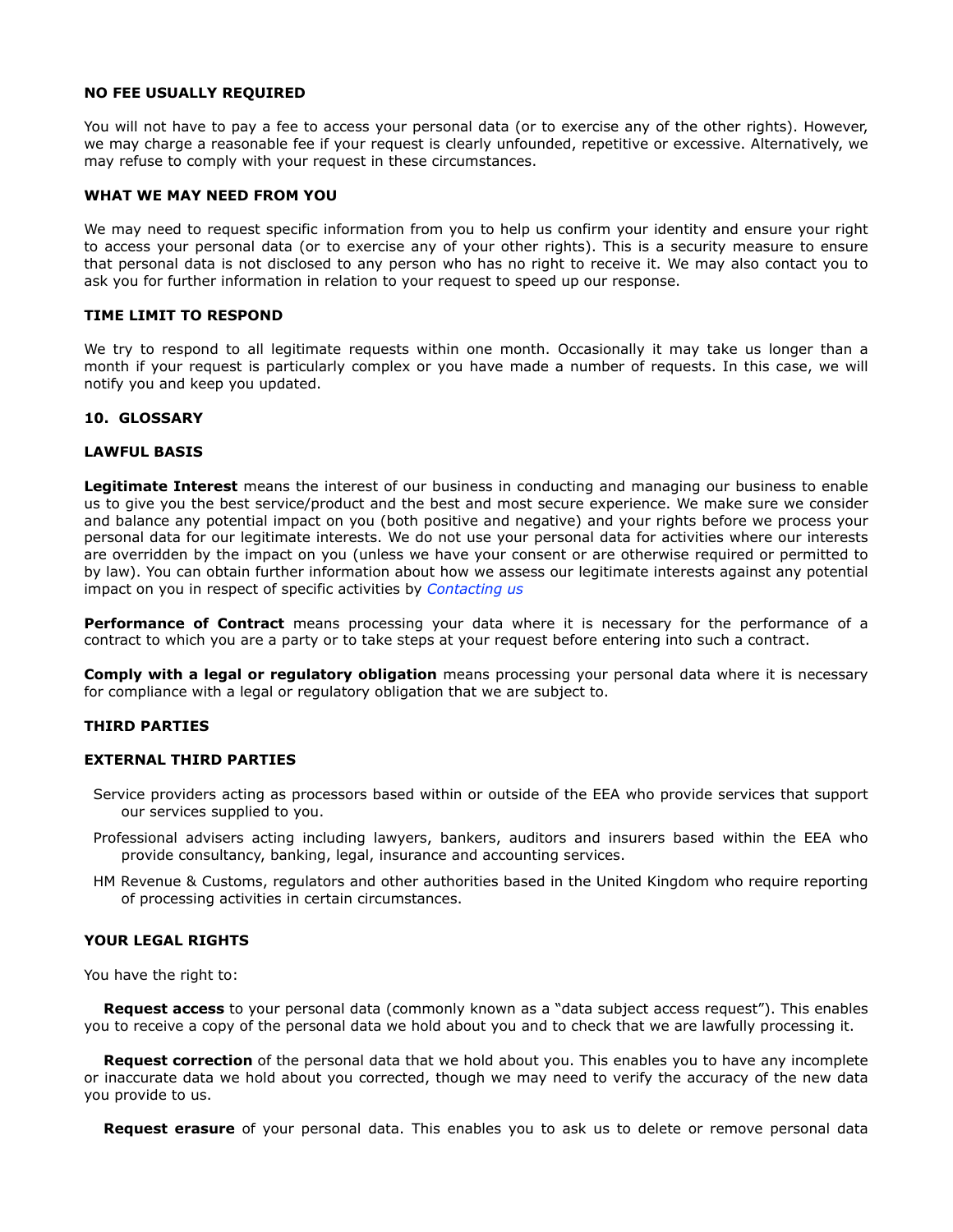### **NO FEE USUALLY REQUIRED**

You will not have to pay a fee to access your personal data (or to exercise any of the other rights). However, we may charge a reasonable fee if your request is clearly unfounded, repetitive or excessive. Alternatively, we may refuse to comply with your request in these circumstances.

#### **WHAT WE MAY NEED FROM YOU**

We may need to request specific information from you to help us confirm your identity and ensure your right to access your personal data (or to exercise any of your other rights). This is a security measure to ensure that personal data is not disclosed to any person who has no right to receive it. We may also contact you to ask you for further information in relation to your request to speed up our response.

## **TIME LIMIT TO RESPOND**

We try to respond to all legitimate requests within one month. Occasionally it may take us longer than a month if your request is particularly complex or you have made a number of requests. In this case, we will notify you and keep you updated.

### **10. GLOSSARY**

## **LAWFUL BASIS**

**Legitimate Interest** means the interest of our business in conducting and managing our business to enable us to give you the best service/product and the best and most secure experience. We make sure we consider and balance any potential impact on you (both positive and negative) and your rights before we process your personal data for our legitimate interests. We do not use your personal data for activities where our interests are overridden by the impact on you (unless we have your consent or are otherwise required or permitted to by law). You can obtain further information about how we assess our legitimate interests against any potential impact on you in respect of specific activities by *[Contacting us](#co_anchor_a599551_1)*

**Performance of Contract** means processing your data where it is necessary for the performance of a contract to which you are a party or to take steps at your request before entering into such a contract.

**Comply with a legal or regulatory obligation** means processing your personal data where it is necessary for compliance with a legal or regulatory obligation that we are subject to.

#### **THIRD PARTIES**

#### **EXTERNAL THIRD PARTIES**

- Service providers acting as processors based within or outside of the EEA who provide services that support our services supplied to you.
- Professional advisers acting including lawyers, bankers, auditors and insurers based within the EEA who provide consultancy, banking, legal, insurance and accounting services.
- HM Revenue & Customs, regulators and other authorities based in the United Kingdom who require reporting of processing activities in certain circumstances.

#### **YOUR LEGAL RIGHTS**

You have the right to:

 **Request access** to your personal data (commonly known as a "data subject access request"). This enables you to receive a copy of the personal data we hold about you and to check that we are lawfully processing it.

 **Request correction** of the personal data that we hold about you. This enables you to have any incomplete or inaccurate data we hold about you corrected, though we may need to verify the accuracy of the new data you provide to us.

**Request erasure** of your personal data. This enables you to ask us to delete or remove personal data